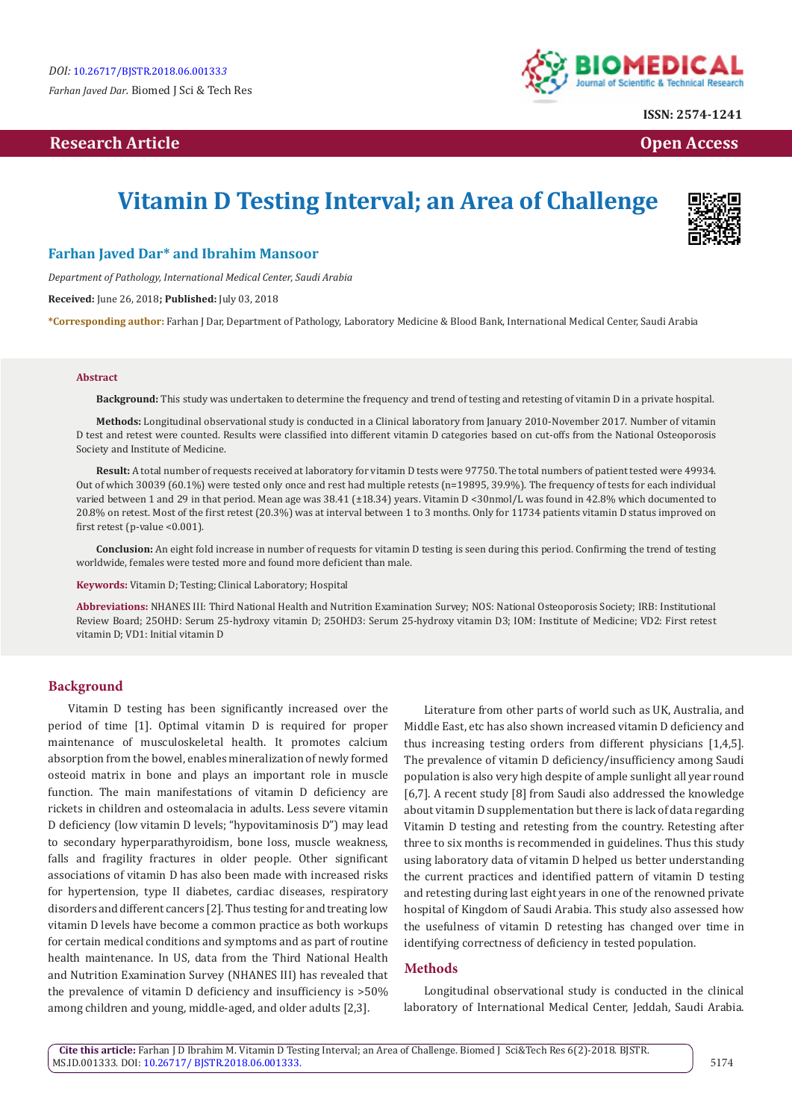# **Research Article Community Community Community Community Community Community Community Community Community Community Community Community Community Community Community Community Community Community Community Community Com**



**ISSN: 2574-1241**

# **Vitamin D Testing Interval; an Area of Challenge**



### **Farhan Javed Dar\* and Ibrahim Mansoor**

*Department of Pathology, International Medical Center, Saudi Arabia*

**Received:** June 26, 2018**; Published:** July 03, 2018

**\*Corresponding author:** Farhan J Dar, Department of Pathology, Laboratory Medicine & Blood Bank, International Medical Center, Saudi Arabia

#### **Abstract**

**Background:** This study was undertaken to determine the frequency and trend of testing and retesting of vitamin D in a private hospital.

**Methods:** Longitudinal observational study is conducted in a Clinical laboratory from January 2010-November 2017. Number of vitamin D test and retest were counted. Results were classified into different vitamin D categories based on cut-offs from the National Osteoporosis Society and Institute of Medicine.

**Result:** A total number of requests received at laboratory for vitamin D tests were 97750. The total numbers of patient tested were 49934. Out of which 30039 (60.1%) were tested only once and rest had multiple retests (n=19895, 39.9%). The frequency of tests for each individual varied between 1 and 29 in that period. Mean age was 38.41 (±18.34) years. Vitamin D <30nmol/L was found in 42.8% which documented to 20.8% on retest. Most of the first retest (20.3%) was at interval between 1 to 3 months. Only for 11734 patients vitamin D status improved on first retest (p-value <0.001).

**Conclusion:** An eight fold increase in number of requests for vitamin D testing is seen during this period. Confirming the trend of testing worldwide, females were tested more and found more deficient than male.

**Keywords:** Vitamin D; Testing; Clinical Laboratory; Hospital

**Abbreviations:** NHANES III: Third National Health and Nutrition Examination Survey; NOS: National Osteoporosis Society; IRB: Institutional Review Board; 25OHD: Serum 25-hydroxy vitamin D; 25OHD3: Serum 25-hydroxy vitamin D3; IOM: Institute of Medicine; VD2: First retest vitamin D; VD1: Initial vitamin D

#### **Background**

Vitamin D testing has been significantly increased over the period of time [1]. Optimal vitamin D is required for proper maintenance of musculoskeletal health. It promotes calcium absorption from the bowel, enables mineralization of newly formed osteoid matrix in bone and plays an important role in muscle function. The main manifestations of vitamin D deficiency are rickets in children and osteomalacia in adults. Less severe vitamin D deficiency (low vitamin D levels; "hypovitaminosis D") may lead to secondary hyperparathyroidism, bone loss, muscle weakness, falls and fragility fractures in older people. Other significant associations of vitamin D has also been made with increased risks for hypertension, type II diabetes, cardiac diseases, respiratory disorders and different cancers [2]. Thus testing for and treating low vitamin D levels have become a common practice as both workups for certain medical conditions and symptoms and as part of routine health maintenance. In US, data from the Third National Health and Nutrition Examination Survey (NHANES III) has revealed that the prevalence of vitamin D deficiency and insufficiency is >50% among children and young, middle-aged, and older adults [2,3].

Literature from other parts of world such as UK, Australia, and Middle East, etc has also shown increased vitamin D deficiency and thus increasing testing orders from different physicians [1,4,5]. The prevalence of vitamin D deficiency/insufficiency among Saudi population is also very high despite of ample sunlight all year round [6,7]. A recent study [8] from Saudi also addressed the knowledge about vitamin D supplementation but there is lack of data regarding Vitamin D testing and retesting from the country. Retesting after three to six months is recommended in guidelines. Thus this study using laboratory data of vitamin D helped us better understanding the current practices and identified pattern of vitamin D testing and retesting during last eight years in one of the renowned private hospital of Kingdom of Saudi Arabia. This study also assessed how the usefulness of vitamin D retesting has changed over time in identifying correctness of deficiency in tested population.

## **Methods**

Longitudinal observational study is conducted in the clinical laboratory of International Medical Center, Jeddah, Saudi Arabia.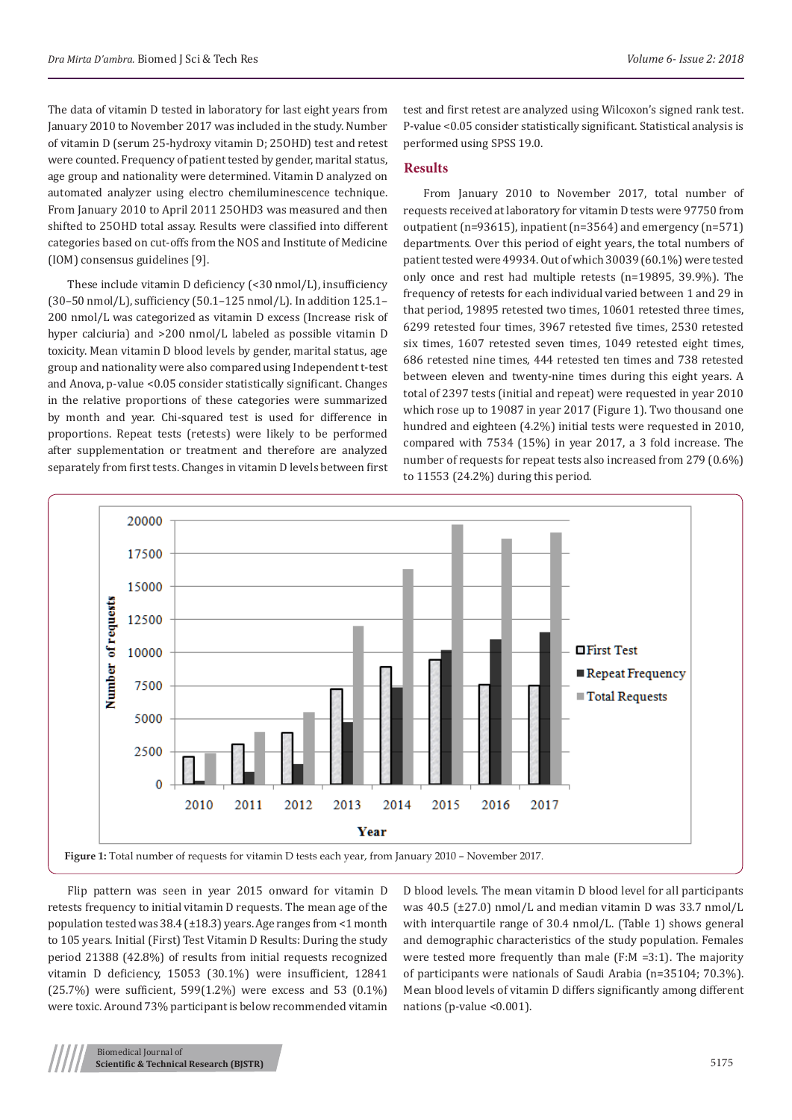The data of vitamin D tested in laboratory for last eight years from January 2010 to November 2017 was included in the study. Number of vitamin D (serum 25-hydroxy vitamin D; 25OHD) test and retest were counted. Frequency of patient tested by gender, marital status, age group and nationality were determined. Vitamin D analyzed on automated analyzer using electro chemiluminescence technique. From January 2010 to April 2011 25OHD3 was measured and then shifted to 25OHD total assay. Results were classified into different categories based on cut-offs from the NOS and Institute of Medicine (IOM) consensus guidelines [9].

These include vitamin D deficiency (<30 nmol/L), insufficiency (30–50 nmol/L), sufficiency (50.1–125 nmol/L). In addition 125.1– 200 nmol/L was categorized as vitamin D excess (Increase risk of hyper calciuria) and >200 nmol/L labeled as possible vitamin D toxicity. Mean vitamin D blood levels by gender, marital status, age group and nationality were also compared using Independent t-test and Anova, p-value <0.05 consider statistically significant. Changes in the relative proportions of these categories were summarized by month and year. Chi-squared test is used for difference in proportions. Repeat tests (retests) were likely to be performed after supplementation or treatment and therefore are analyzed separately from first tests. Changes in vitamin D levels between first

test and first retest are analyzed using Wilcoxon's signed rank test. P-value <0.05 consider statistically significant. Statistical analysis is performed using SPSS 19.0.

# **Results**

From January 2010 to November 2017, total number of requests received at laboratory for vitamin D tests were 97750 from outpatient (n=93615), inpatient (n=3564) and emergency (n=571) departments. Over this period of eight years, the total numbers of patient tested were 49934. Out of which 30039 (60.1%) were tested only once and rest had multiple retests (n=19895, 39.9%). The frequency of retests for each individual varied between 1 and 29 in that period, 19895 retested two times, 10601 retested three times, 6299 retested four times, 3967 retested five times, 2530 retested six times, 1607 retested seven times, 1049 retested eight times, 686 retested nine times, 444 retested ten times and 738 retested between eleven and twenty-nine times during this eight years. A total of 2397 tests (initial and repeat) were requested in year 2010 which rose up to 19087 in year 2017 (Figure 1). Two thousand one hundred and eighteen (4.2%) initial tests were requested in 2010, compared with 7534 (15%) in year 2017, a 3 fold increase. The number of requests for repeat tests also increased from 279 (0.6%) to 11553 (24.2%) during this period.



Flip pattern was seen in year 2015 onward for vitamin D retests frequency to initial vitamin D requests. The mean age of the population tested was 38.4 (±18.3) years. Age ranges from <1 month to 105 years. Initial (First) Test Vitamin D Results: During the study period 21388 (42.8%) of results from initial requests recognized vitamin D deficiency, 15053 (30.1%) were insufficient, 12841 (25.7%) were sufficient, 599(1.2%) were excess and 53 (0.1%) were toxic. Around 73% participant is below recommended vitamin

D blood levels. The mean vitamin D blood level for all participants was 40.5 (±27.0) nmol/L and median vitamin D was 33.7 nmol/L with interquartile range of 30.4 nmol/L. (Table 1) shows general and demographic characteristics of the study population. Females were tested more frequently than male (F:M =3:1). The majority of participants were nationals of Saudi Arabia (n=35104; 70.3%). Mean blood levels of vitamin D differs significantly among different nations (p-value <0.001).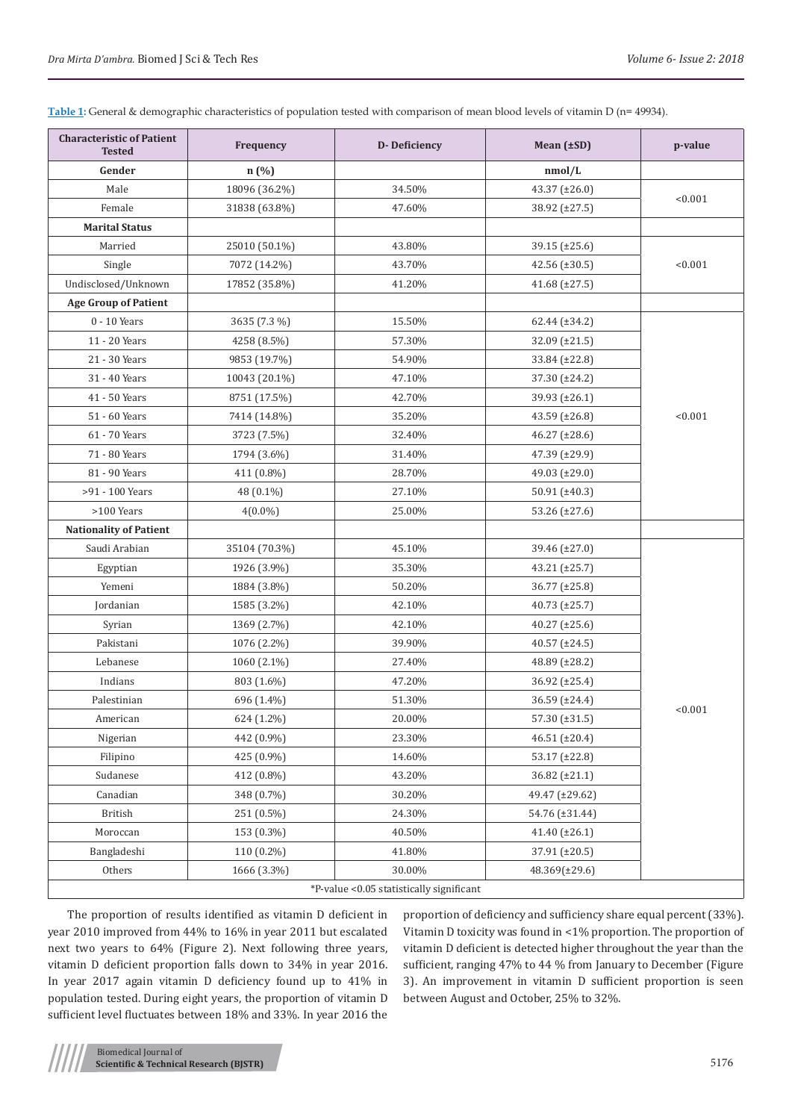**Table 1:** General & demographic characteristics of population tested with comparison of mean blood levels of vitamin D (n= 49934).

| <b>Characteristic of Patient</b><br><b>Tested</b> | Frequency                              | D-Deficiency                 | Mean $(\pm SD)$                       | p-value |  |  |  |
|---------------------------------------------------|----------------------------------------|------------------------------|---------------------------------------|---------|--|--|--|
| Gender                                            | n (%)                                  |                              | nmol/L                                |         |  |  |  |
| Male                                              | 18096 (36.2%)                          | 34.50%                       | 43.37 (±26.0)                         | < 0.001 |  |  |  |
| Female                                            | 31838 (63.8%)                          | 47.60%                       | 38.92 (±27.5)                         |         |  |  |  |
| <b>Marital Status</b>                             |                                        |                              |                                       |         |  |  |  |
| Married                                           | 25010 (50.1%)                          | 43.80%                       | 39.15 (±25.6)                         |         |  |  |  |
| Single                                            | 7072 (14.2%)                           | 43.70%                       | 42.56 $(\pm 30.5)$                    | < 0.001 |  |  |  |
| Undisclosed/Unknown                               | 17852 (35.8%)                          | 41.20%                       | 41.68 $(\pm 27.5)$                    |         |  |  |  |
| <b>Age Group of Patient</b>                       |                                        |                              |                                       |         |  |  |  |
| 0 - 10 Years                                      | 3635 (7.3 %)                           | 15.50%                       | 62.44 (±34.2)                         |         |  |  |  |
| 11 - 20 Years                                     | 4258 (8.5%)                            | 57.30%                       | $32.09 \ (\pm 21.5)$                  |         |  |  |  |
| 21 - 30 Years                                     | 9853 (19.7%)                           | 54.90%                       | $33.84 \ (\pm 22.8)$                  |         |  |  |  |
| 31 - 40 Years                                     | 10043 (20.1%)                          | 47.10%                       | 37.30 (±24.2)                         |         |  |  |  |
| 41 - 50 Years                                     | 8751 (17.5%)                           | 42.70%                       | 39.93 (±26.1)                         |         |  |  |  |
| 51 - 60 Years                                     | 7414 (14.8%)                           | 35.20%                       | 43.59 $(\pm 26.8)$                    | < 0.001 |  |  |  |
| 61 - 70 Years                                     | 3723 (7.5%)                            | 32.40%                       | 46.27 (±28.6)                         |         |  |  |  |
| 71 - 80 Years                                     | 1794 (3.6%)                            | 31.40%                       | 47.39 (±29.9)                         |         |  |  |  |
| 81 - 90 Years                                     | 411 (0.8%)                             | 28.70%                       | 49.03 (±29.0)                         |         |  |  |  |
| >91 - 100 Years                                   | 48 (0.1%)                              | 27.10%                       | 50.91 $(\pm 40.3)$                    |         |  |  |  |
| >100 Years                                        | $4(0.0\%)$                             | 25.00%                       | 53.26 $(\pm 27.6)$                    |         |  |  |  |
| <b>Nationality of Patient</b>                     |                                        |                              |                                       |         |  |  |  |
| Saudi Arabian                                     | 35104 (70.3%)                          | 45.10%                       | 39.46 (±27.0)                         |         |  |  |  |
| Egyptian                                          | 1926 (3.9%)                            | 35.30%                       | $43.21 (\pm 25.7)$                    |         |  |  |  |
| Yemeni                                            | 1884 (3.8%)<br>1585 (3.2%)             | 50.20%                       | 36.77 (±25.8)<br>$40.73 \ (\pm 25.7)$ |         |  |  |  |
| Jordanian                                         |                                        | 42.10%                       |                                       |         |  |  |  |
| Syrian                                            | 1369 (2.7%)                            | 42.10%                       | $40.27 \ (\pm 25.6)$                  |         |  |  |  |
| Pakistani                                         | 1076 (2.2%)                            | 39.90%                       | $40.57 \ (\pm 24.5)$                  |         |  |  |  |
| Lebanese                                          | 1060 (2.1%)                            | 27.40%                       | 48.89 (±28.2)                         |         |  |  |  |
| Indians                                           | 803 (1.6%)                             | 47.20%                       | $36.92 \ (\pm 25.4)$                  |         |  |  |  |
| Palestinian                                       | 696 (1.4%)                             | 51.30%                       | 36.59 (±24.4)                         | < 0.001 |  |  |  |
| American                                          | 624 (1.2%)                             | 20.00%                       | 57.30 (±31.5)                         |         |  |  |  |
| Nigerian                                          | 442 (0.9%)                             | 23.30%                       | 46.51 (±20.4)                         |         |  |  |  |
| Filipino                                          | 425 (0.9%)                             | 14.60%                       | 53.17 $(\pm 22.8)$                    |         |  |  |  |
| Sudanese                                          | 412 (0.8%)<br>348 (0.7%)<br>251 (0.5%) | 43.20%                       | 36.82 (±21.1)                         |         |  |  |  |
| Canadian                                          |                                        | 30.20%                       | 49.47 (±29.62)                        |         |  |  |  |
| <b>British</b>                                    |                                        | 24.30%                       | 54.76 (±31.44)                        |         |  |  |  |
| Moroccan                                          | 153 (0.3%)                             | 40.50%<br>41.40 $(\pm 26.1)$ |                                       |         |  |  |  |
| Bangladeshi                                       | 110 (0.2%)<br>41.80%<br>37.91 (±20.5)  |                              |                                       |         |  |  |  |
| Others                                            | 1666 (3.3%)                            | 30.00%                       | 48.369(±29.6)                         |         |  |  |  |
| *P-value <0.05 statistically significant          |                                        |                              |                                       |         |  |  |  |

The proportion of results identified as vitamin D deficient in year 2010 improved from 44% to 16% in year 2011 but escalated next two years to 64% (Figure 2). Next following three years, vitamin D deficient proportion falls down to 34% in year 2016. In year 2017 again vitamin D deficiency found up to 41% in population tested. During eight years, the proportion of vitamin D sufficient level fluctuates between 18% and 33%. In year 2016 the

proportion of deficiency and sufficiency share equal percent (33%). Vitamin D toxicity was found in <1% proportion. The proportion of vitamin D deficient is detected higher throughout the year than the sufficient, ranging 47% to 44 % from January to December (Figure 3). An improvement in vitamin D sufficient proportion is seen between August and October, 25% to 32%.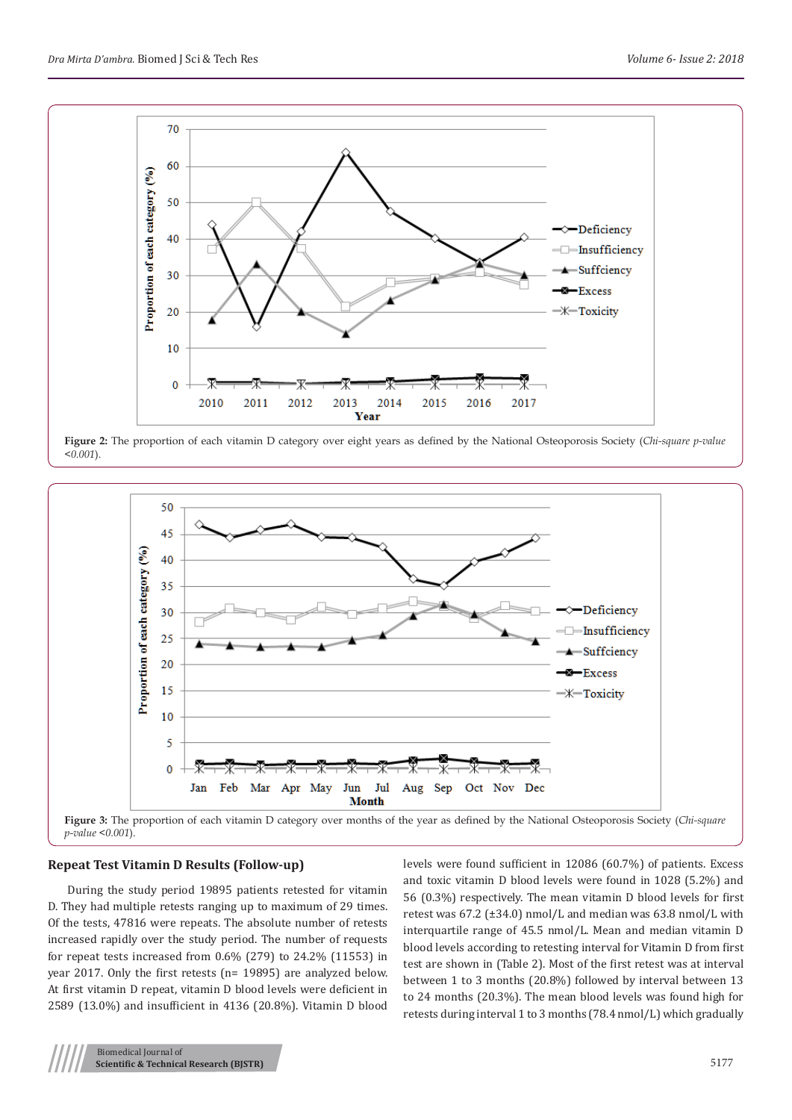

**Figure 2:** The proportion of each vitamin D category over eight years as defined by the National Osteoporosis Society (*Chi-square p-value <0.001*).



#### **Repeat Test Vitamin D Results (Follow-up)**

During the study period 19895 patients retested for vitamin D. They had multiple retests ranging up to maximum of 29 times. Of the tests, 47816 were repeats. The absolute number of retests increased rapidly over the study period. The number of requests for repeat tests increased from 0.6% (279) to 24.2% (11553) in year 2017. Only the first retests (n= 19895) are analyzed below. At first vitamin D repeat, vitamin D blood levels were deficient in 2589 (13.0%) and insufficient in 4136 (20.8%). Vitamin D blood

levels were found sufficient in 12086 (60.7%) of patients. Excess and toxic vitamin D blood levels were found in 1028 (5.2%) and 56 (0.3%) respectively. The mean vitamin D blood levels for first retest was 67.2 (±34.0) nmol/L and median was 63.8 nmol/L with interquartile range of 45.5 nmol/L. Mean and median vitamin D blood levels according to retesting interval for Vitamin D from first test are shown in (Table 2). Most of the first retest was at interval between 1 to 3 months (20.8%) followed by interval between 13 to 24 months (20.3%). The mean blood levels was found high for retests during interval 1 to 3 months (78.4 nmol/L) which gradually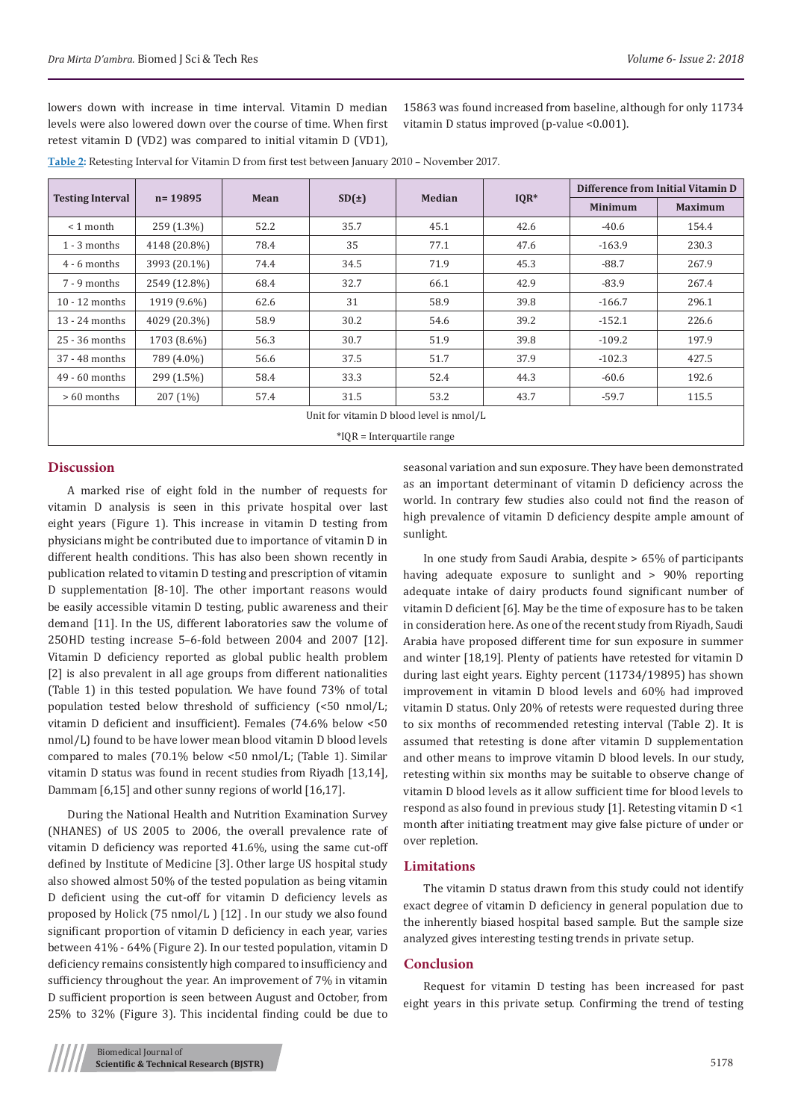lowers down with increase in time interval. Vitamin D median levels were also lowered down over the course of time. When first retest vitamin D (VD2) was compared to initial vitamin D (VD1), 15863 was found increased from baseline, although for only 11734 vitamin D status improved (p-value <0.001).

| Dra Mirta D'ambra. Biomed J Sci & Tech Res | <i>Volume 6- Issue 2: 2018</i> |
|--------------------------------------------|--------------------------------|
|                                            |                                |

|  | Table 2: Retesting Interval for Vitamin D from first test between January 2010 - November 2017. |  |
|--|-------------------------------------------------------------------------------------------------|--|
|--|-------------------------------------------------------------------------------------------------|--|

|                                          | $n = 19895$  | Mean | SD(±) | <b>Median</b> | $IQR*$ | Difference from Initial Vitamin D |                |
|------------------------------------------|--------------|------|-------|---------------|--------|-----------------------------------|----------------|
| <b>Testing Interval</b>                  |              |      |       |               |        | <b>Minimum</b>                    | <b>Maximum</b> |
| $\leq 1$ month                           | 259 (1.3%)   | 52.2 | 35.7  | 45.1          | 42.6   | $-40.6$                           | 154.4          |
| $1 - 3$ months                           | 4148 (20.8%) | 78.4 | 35    | 77.1          | 47.6   | $-163.9$                          | 230.3          |
| $4 - 6$ months                           | 3993 (20.1%) | 74.4 | 34.5  | 71.9          | 45.3   | $-88.7$                           | 267.9          |
| $7 - 9$ months                           | 2549 (12.8%) | 68.4 | 32.7  | 66.1          | 42.9   | $-83.9$                           | 267.4          |
| $10 - 12$ months                         | 1919 (9.6%)  | 62.6 | 31    | 58.9          | 39.8   | $-166.7$                          | 296.1          |
| $13 - 24$ months                         | 4029 (20.3%) | 58.9 | 30.2  | 54.6          | 39.2   | $-152.1$                          | 226.6          |
| 25 - 36 months                           | 1703 (8.6%)  | 56.3 | 30.7  | 51.9          | 39.8   | $-109.2$                          | 197.9          |
| 37 - 48 months                           | 789 (4.0%)   | 56.6 | 37.5  | 51.7          | 37.9   | $-102.3$                          | 427.5          |
| $49 - 60$ months                         | 299 (1.5%)   | 58.4 | 33.3  | 52.4          | 44.3   | $-60.6$                           | 192.6          |
| $>60$ months                             | 207(1%)      | 57.4 | 31.5  | 53.2          | 43.7   | $-59.7$                           | 115.5          |
| Unit for vitamin D blood level is nmol/L |              |      |       |               |        |                                   |                |
| $*IOR = Interquartile range$             |              |      |       |               |        |                                   |                |

### **Discussion**

A marked rise of eight fold in the number of requests for vitamin D analysis is seen in this private hospital over last eight years (Figure 1). This increase in vitamin D testing from physicians might be contributed due to importance of vitamin D in different health conditions. This has also been shown recently in publication related to vitamin D testing and prescription of vitamin D supplementation [8-10]. The other important reasons would be easily accessible vitamin D testing, public awareness and their demand [11]. In the US, different laboratories saw the volume of 25OHD testing increase 5–6-fold between 2004 and 2007 [12]. Vitamin D deficiency reported as global public health problem [2] is also prevalent in all age groups from different nationalities (Table 1) in this tested population. We have found 73% of total population tested below threshold of sufficiency (<50 nmol/L; vitamin D deficient and insufficient). Females (74.6% below <50 nmol/L) found to be have lower mean blood vitamin D blood levels compared to males (70.1% below <50 nmol/L; (Table 1). Similar vitamin D status was found in recent studies from Riyadh [13,14], Dammam [6,15] and other sunny regions of world [16,17].

During the National Health and Nutrition Examination Survey (NHANES) of US 2005 to 2006, the overall prevalence rate of vitamin D deficiency was reported 41.6%, using the same cut-off defined by Institute of Medicine [3]. Other large US hospital study also showed almost 50% of the tested population as being vitamin D deficient using the cut-off for vitamin D deficiency levels as proposed by Holick (75 nmol/L ) [12] . In our study we also found significant proportion of vitamin D deficiency in each year, varies between 41% - 64% (Figure 2). In our tested population, vitamin D deficiency remains consistently high compared to insufficiency and sufficiency throughout the year. An improvement of 7% in vitamin D sufficient proportion is seen between August and October, from 25% to 32% (Figure 3). This incidental finding could be due to

seasonal variation and sun exposure. They have been demonstrated as an important determinant of vitamin D deficiency across the world. In contrary few studies also could not find the reason of high prevalence of vitamin D deficiency despite ample amount of sunlight.

In one study from Saudi Arabia, despite > 65% of participants having adequate exposure to sunlight and > 90% reporting adequate intake of dairy products found significant number of vitamin D deficient [6]. May be the time of exposure has to be taken in consideration here. As one of the recent study from Riyadh, Saudi Arabia have proposed different time for sun exposure in summer and winter [18,19]. Plenty of patients have retested for vitamin D during last eight years. Eighty percent (11734/19895) has shown improvement in vitamin D blood levels and 60% had improved vitamin D status. Only 20% of retests were requested during three to six months of recommended retesting interval (Table 2). It is assumed that retesting is done after vitamin D supplementation and other means to improve vitamin D blood levels. In our study, retesting within six months may be suitable to observe change of vitamin D blood levels as it allow sufficient time for blood levels to respond as also found in previous study [1]. Retesting vitamin D <1 month after initiating treatment may give false picture of under or over repletion.

## **Limitations**

The vitamin D status drawn from this study could not identify exact degree of vitamin D deficiency in general population due to the inherently biased hospital based sample. But the sample size analyzed gives interesting testing trends in private setup.

#### **Conclusion**

Request for vitamin D testing has been increased for past eight years in this private setup. Confirming the trend of testing